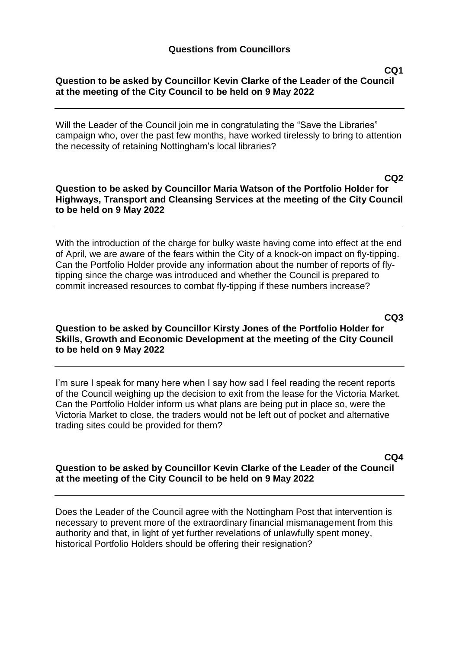#### **CQ1**

## **Question to be asked by Councillor Kevin Clarke of the Leader of the Council at the meeting of the City Council to be held on 9 May 2022**

Will the Leader of the Council join me in congratulating the "Save the Libraries" campaign who, over the past few months, have worked tirelessly to bring to attention the necessity of retaining Nottingham's local libraries?

## **CQ2 Question to be asked by Councillor Maria Watson of the Portfolio Holder for Highways, Transport and Cleansing Services at the meeting of the City Council to be held on 9 May 2022**

With the introduction of the charge for bulky waste having come into effect at the end of April, we are aware of the fears within the City of a knock-on impact on fly-tipping. Can the Portfolio Holder provide any information about the number of reports of flytipping since the charge was introduced and whether the Council is prepared to commit increased resources to combat fly-tipping if these numbers increase?

# **Question to be asked by Councillor Kirsty Jones of the Portfolio Holder for Skills, Growth and Economic Development at the meeting of the City Council to be held on 9 May 2022**

I'm sure I speak for many here when I say how sad I feel reading the recent reports of the Council weighing up the decision to exit from the lease for the Victoria Market. Can the Portfolio Holder inform us what plans are being put in place so, were the Victoria Market to close, the traders would not be left out of pocket and alternative trading sites could be provided for them?

### **CQ4 Question to be asked by Councillor Kevin Clarke of the Leader of the Council at the meeting of the City Council to be held on 9 May 2022**

Does the Leader of the Council agree with the Nottingham Post that intervention is necessary to prevent more of the extraordinary financial mismanagement from this authority and that, in light of yet further revelations of unlawfully spent money, historical Portfolio Holders should be offering their resignation?

**CQ3**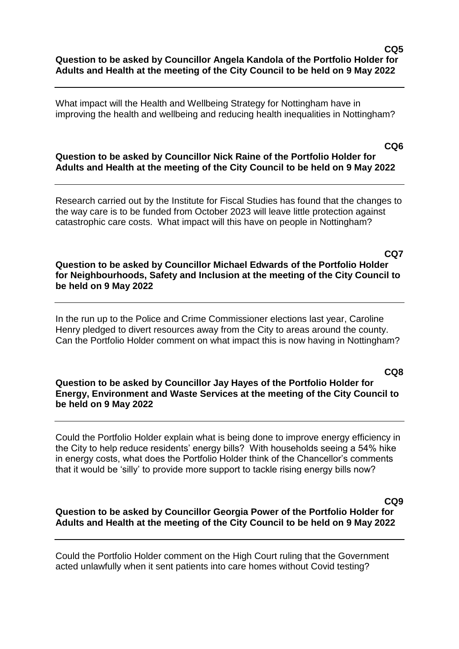What impact will the Health and Wellbeing Strategy for Nottingham have in improving the health and wellbeing and reducing health inequalities in Nottingham?

### **CQ6 Question to be asked by Councillor Nick Raine of the Portfolio Holder for Adults and Health at the meeting of the City Council to be held on 9 May 2022**

Research carried out by the Institute for Fiscal Studies has found that the changes to the way care is to be funded from October 2023 will leave little protection against catastrophic care costs. What impact will this have on people in Nottingham?

## **CQ7 Question to be asked by Councillor Michael Edwards of the Portfolio Holder for Neighbourhoods, Safety and Inclusion at the meeting of the City Council to be held on 9 May 2022**

In the run up to the Police and Crime Commissioner elections last year, Caroline Henry pledged to divert resources away from the City to areas around the county. Can the Portfolio Holder comment on what impact this is now having in Nottingham?

# **Question to be asked by Councillor Jay Hayes of the Portfolio Holder for Energy, Environment and Waste Services at the meeting of the City Council to be held on 9 May 2022**

Could the Portfolio Holder explain what is being done to improve energy efficiency in the City to help reduce residents' energy bills? With households seeing a 54% hike in energy costs, what does the Portfolio Holder think of the Chancellor's comments that it would be 'silly' to provide more support to tackle rising energy bills now?

### **CQ9**

**CQ8**

## **Question to be asked by Councillor Georgia Power of the Portfolio Holder for Adults and Health at the meeting of the City Council to be held on 9 May 2022**

Could the Portfolio Holder comment on the High Court ruling that the Government acted unlawfully when it sent patients into care homes without Covid testing?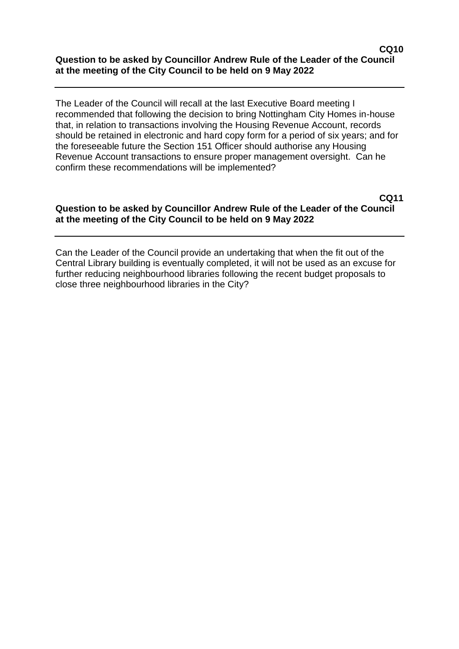#### **CQ10 Question to be asked by Councillor Andrew Rule of the Leader of the Council at the meeting of the City Council to be held on 9 May 2022**

The Leader of the Council will recall at the last Executive Board meeting I recommended that following the decision to bring Nottingham City Homes in-house that, in relation to transactions involving the Housing Revenue Account, records should be retained in electronic and hard copy form for a period of six years; and for the foreseeable future the Section 151 Officer should authorise any Housing Revenue Account transactions to ensure proper management oversight. Can he confirm these recommendations will be implemented?

## **CQ11 Question to be asked by Councillor Andrew Rule of the Leader of the Council at the meeting of the City Council to be held on 9 May 2022**

Can the Leader of the Council provide an undertaking that when the fit out of the Central Library building is eventually completed, it will not be used as an excuse for further reducing neighbourhood libraries following the recent budget proposals to close three neighbourhood libraries in the City?